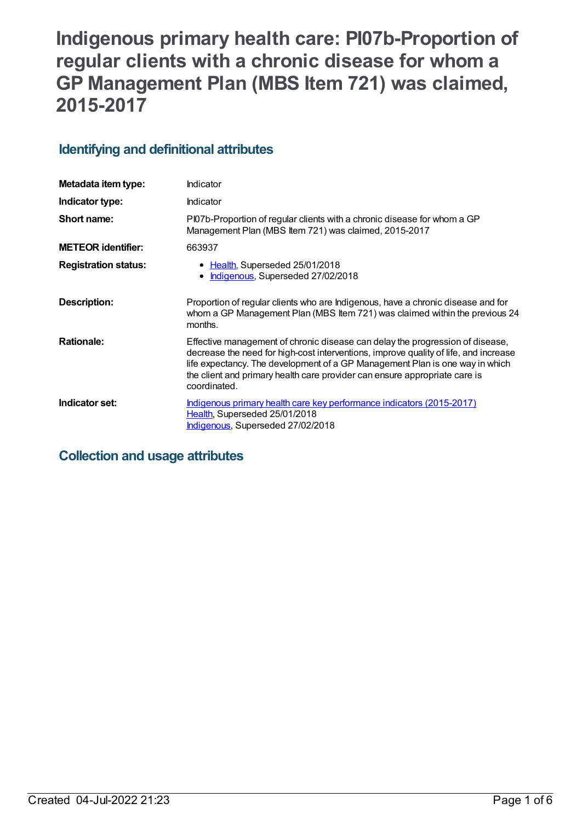# **Indigenous primary health care: PI07b-Proportion of regular clients with a chronic disease for whom a GP Management Plan (MBS Item 721) was claimed, 2015-2017**

## **Identifying and definitional attributes**

| Metadata item type:         | Indicator                                                                                                                                                                                                                                                                                                                                           |
|-----------------------------|-----------------------------------------------------------------------------------------------------------------------------------------------------------------------------------------------------------------------------------------------------------------------------------------------------------------------------------------------------|
| Indicator type:             | Indicator                                                                                                                                                                                                                                                                                                                                           |
| Short name:                 | Pl07b-Proportion of regular clients with a chronic disease for whom a GP<br>Management Plan (MBS Item 721) was claimed, 2015-2017                                                                                                                                                                                                                   |
| <b>METEOR identifier:</b>   | 663937                                                                                                                                                                                                                                                                                                                                              |
| <b>Registration status:</b> | • Health, Superseded 25/01/2018<br>Indigenous, Superseded 27/02/2018                                                                                                                                                                                                                                                                                |
| Description:                | Proportion of regular clients who are Indigenous, have a chronic disease and for<br>whom a GP Management Plan (MBS Item 721) was claimed within the previous 24<br>months.                                                                                                                                                                          |
| <b>Rationale:</b>           | Effective management of chronic disease can delay the progression of disease,<br>decrease the need for high-cost interventions, improve quality of life, and increase<br>life expectancy. The development of a GP Management Plan is one way in which<br>the client and primary health care provider can ensure appropriate care is<br>coordinated. |
| Indicator set:              | Indigenous primary health care key performance indicators (2015-2017)<br>Health, Superseded 25/01/2018<br>Indigenous, Superseded 27/02/2018                                                                                                                                                                                                         |

## **Collection and usage attributes**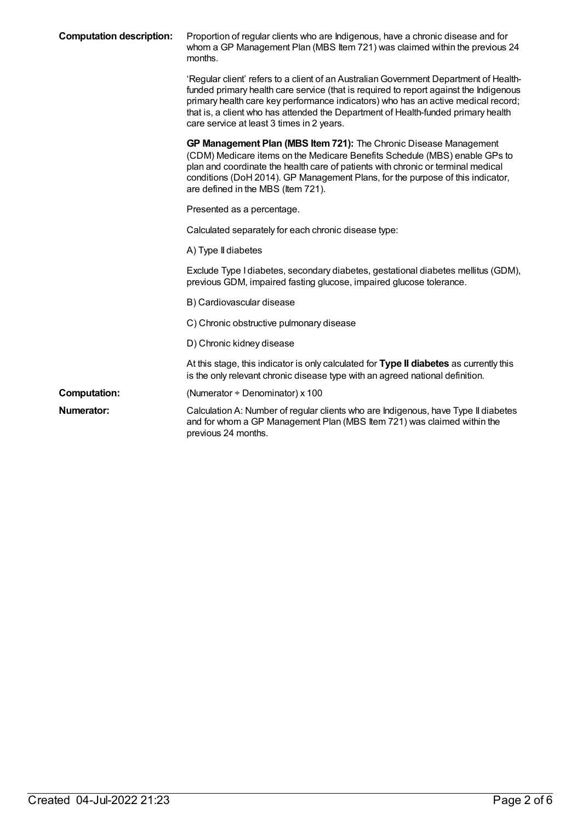| <b>Computation description:</b> | Proportion of regular clients who are Indigenous, have a chronic disease and for<br>whom a GP Management Plan (MBS Item 721) was claimed within the previous 24<br>months.                                                                                                                                                                                                                            |
|---------------------------------|-------------------------------------------------------------------------------------------------------------------------------------------------------------------------------------------------------------------------------------------------------------------------------------------------------------------------------------------------------------------------------------------------------|
|                                 | 'Regular client' refers to a client of an Australian Government Department of Health-<br>funded primary health care service (that is required to report against the Indigenous<br>primary health care key performance indicators) who has an active medical record;<br>that is, a client who has attended the Department of Health-funded primary health<br>care service at least 3 times in 2 years. |
|                                 | GP Management Plan (MBS Item 721): The Chronic Disease Management<br>(CDM) Medicare items on the Medicare Benefits Schedule (MBS) enable GPs to<br>plan and coordinate the health care of patients with chronic or terminal medical<br>conditions (DoH 2014). GP Management Plans, for the purpose of this indicator,<br>are defined in the MBS (Item 721).                                           |
|                                 | Presented as a percentage.                                                                                                                                                                                                                                                                                                                                                                            |
|                                 | Calculated separately for each chronic disease type:                                                                                                                                                                                                                                                                                                                                                  |
|                                 | A) Type II diabetes                                                                                                                                                                                                                                                                                                                                                                                   |
|                                 | Exclude Type I diabetes, secondary diabetes, gestational diabetes mellitus (GDM),<br>previous GDM, impaired fasting glucose, impaired glucose tolerance.                                                                                                                                                                                                                                              |
|                                 | B) Cardiovascular disease                                                                                                                                                                                                                                                                                                                                                                             |
|                                 | C) Chronic obstructive pulmonary disease                                                                                                                                                                                                                                                                                                                                                              |
|                                 | D) Chronic kidney disease                                                                                                                                                                                                                                                                                                                                                                             |
|                                 | At this stage, this indicator is only calculated for Type II diabetes as currently this<br>is the only relevant chronic disease type with an agreed national definition.                                                                                                                                                                                                                              |
| <b>Computation:</b>             | (Numerator + Denominator) x 100                                                                                                                                                                                                                                                                                                                                                                       |
| Numerator:                      | Calculation A: Number of regular clients who are Indigenous, have Type II diabetes<br>and for whom a GP Management Plan (MBS Item 721) was claimed within the<br>previous 24 months.                                                                                                                                                                                                                  |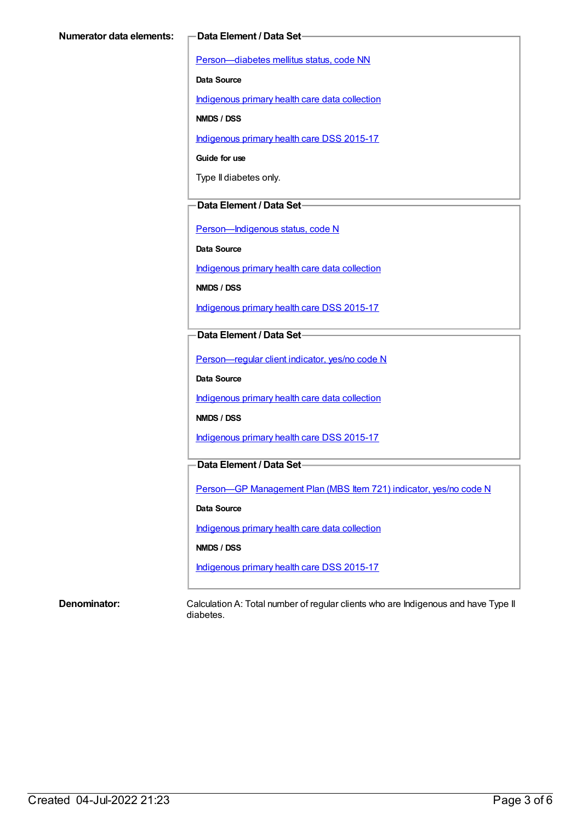[Person—diabetes](https://meteor.aihw.gov.au/content/270194) mellitus status, code NN

**Data Source**

[Indigenous](https://meteor.aihw.gov.au/content/430643) primary health care data collection

**NMDS / DSS**

[Indigenous](https://meteor.aihw.gov.au/content/585036) primary health care DSS 2015-17

**Guide for use**

Type II diabetes only.

### **Data Element / Data Set**

[Person—Indigenous](https://meteor.aihw.gov.au/content/291036) status, code N

**Data Source**

[Indigenous](https://meteor.aihw.gov.au/content/430643) primary health care data collection

**NMDS / DSS**

[Indigenous](https://meteor.aihw.gov.au/content/585036) primary health care DSS 2015-17

**Data Element / Data Set**

[Person—regular](https://meteor.aihw.gov.au/content/436639) client indicator, yes/no code N

**Data Source**

[Indigenous](https://meteor.aihw.gov.au/content/430643) primary health care data collection

**NMDS / DSS**

[Indigenous](https://meteor.aihw.gov.au/content/585036) primary health care DSS 2015-17

## **Data Element / Data Set**

Person-GP [Management](https://meteor.aihw.gov.au/content/504966) Plan (MBS Item 721) indicator, yes/no code N

**Data Source**

[Indigenous](https://meteor.aihw.gov.au/content/430643) primary health care data collection

**NMDS / DSS**

[Indigenous](https://meteor.aihw.gov.au/content/585036) primary health care DSS 2015-17

**Denominator:** Calculation A: Total number of regular clients who are Indigenous and have Type II diabetes.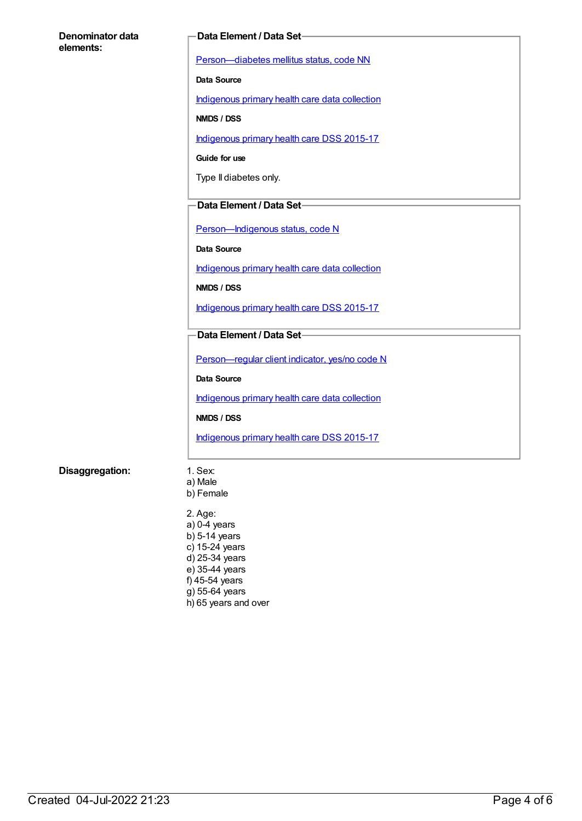#### **Denominator data elements:**

#### **Data Element / Data Set**

[Person—diabetes](https://meteor.aihw.gov.au/content/270194) mellitus status, code NN

**Data Source**

[Indigenous](https://meteor.aihw.gov.au/content/430643) primary health care data collection

**NMDS / DSS**

[Indigenous](https://meteor.aihw.gov.au/content/585036) primary health care DSS 2015-17

**Guide for use**

Type II diabetes only.

### **Data Element / Data Set**

Person-Indigenous status, code N

**Data Source**

[Indigenous](https://meteor.aihw.gov.au/content/430643) primary health care data collection

**NMDS / DSS**

[Indigenous](https://meteor.aihw.gov.au/content/585036) primary health care DSS 2015-17

### **Data Element / Data Set**

[Person—regular](https://meteor.aihw.gov.au/content/436639) client indicator, yes/no code N

**Data Source**

[Indigenous](https://meteor.aihw.gov.au/content/430643) primary health care data collection

**NMDS / DSS**

[Indigenous](https://meteor.aihw.gov.au/content/585036) primary health care DSS 2015-17

#### **Disaggregation:** 1. Sex:

a) Male b) Female

2. Age: a) 0-4 years b) 5-14 years c) 15-24 years d) 25-34 years e) 35-44 years f) 45-54 years g) 55-64 years h) 65 years and over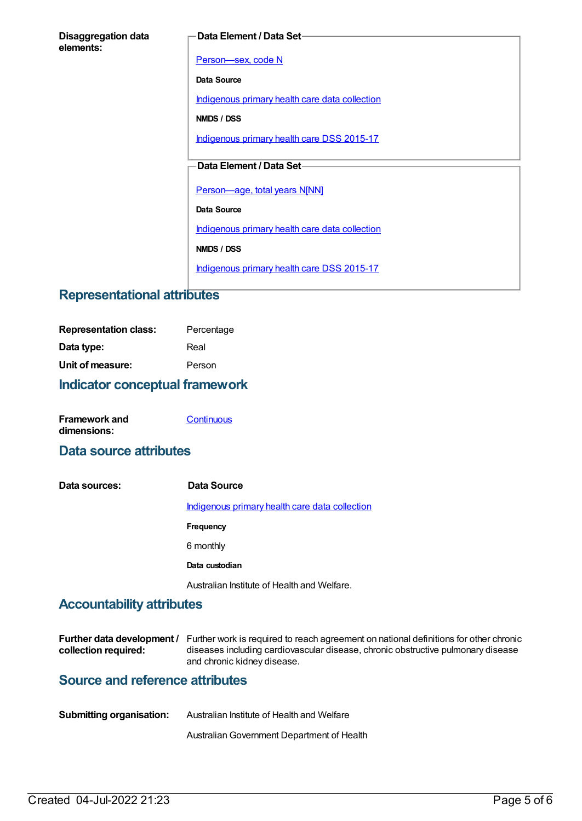| <b>Disaggregation data</b> |  |
|----------------------------|--|
| elements:                  |  |

#### **Data Element / Data Set**

[Person—sex,](https://meteor.aihw.gov.au/content/287316) code N

**Data Source**

[Indigenous](https://meteor.aihw.gov.au/content/430643) primary health care data collection

**NMDS / DSS**

[Indigenous](https://meteor.aihw.gov.au/content/585036) primary health care DSS 2015-17

## **Data Element / Data Set**

[Person—age,](https://meteor.aihw.gov.au/content/303794) total years N[NN]

**Data Source**

[Indigenous](https://meteor.aihw.gov.au/content/430643) primary health care data collection

**NMDS / DSS**

[Indigenous](https://meteor.aihw.gov.au/content/585036) primary health care DSS 2015-17

## **Representational attributes**

| <b>Representation class:</b> | Percentage |
|------------------------------|------------|
| Data type:                   | Real       |
| Unit of measure:             | Person     |

## **Indicator conceptual framework**

| <b>Framework and</b> | Continuous |
|----------------------|------------|
| dimensions:          |            |

## **Data source attributes**

| Data sources: | Data Source                                           |
|---------------|-------------------------------------------------------|
|               | <u>Indigenous primary health care data collection</u> |
|               | <b>Frequency</b>                                      |
|               | 6 monthly                                             |
|               | Data custodian                                        |
|               | Australian Institute of Health and Welfare.           |

## **Accountability attributes**

|                      | <b>Further data development</b> / Further work is required to reach agreement on national definitions for other chronic |
|----------------------|-------------------------------------------------------------------------------------------------------------------------|
| collection required: | diseases including cardiovascular disease, chronic obstructive pulmonary disease                                        |
|                      | and chronic kidney disease.                                                                                             |

## **Source and reference attributes**

| <b>Submitting organisation:</b> | Australian Institute of Health and Welfare |
|---------------------------------|--------------------------------------------|
|                                 | Australian Government Department of Health |